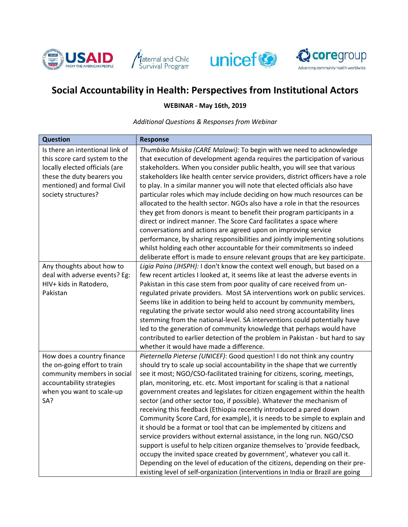





## **Social Accountability in Health: Perspectives from Institutional Actors**

**WEBINAR - May 16th, 2019**

*Additional Questions & Responses from Webinar*

| <b>Question</b>                 | <b>Response</b>                                                                  |
|---------------------------------|----------------------------------------------------------------------------------|
| Is there an intentional link of | Thumbiko Msiska (CARE Malawi): To begin with we need to acknowledge              |
| this score card system to the   | that execution of development agenda requires the participation of various       |
| locally elected officials (are  | stakeholders. When you consider public health, you will see that various         |
| these the duty bearers you      | stakeholders like health center service providers, district officers have a role |
| mentioned) and formal Civil     | to play. In a similar manner you will note that elected officials also have      |
| society structures?             | particular roles which may include deciding on how much resources can be         |
|                                 | allocated to the health sector. NGOs also have a role in that the resources      |
|                                 | they get from donors is meant to benefit their program participants in a         |
|                                 | direct or indirect manner. The Score Card facilitates a space where              |
|                                 | conversations and actions are agreed upon on improving service                   |
|                                 | performance, by sharing responsibilities and jointly implementing solutions      |
|                                 | whilst holding each other accountable for their commitments so indeed            |
|                                 | deliberate effort is made to ensure relevant groups that are key participate.    |
| Any thoughts about how to       | Ligia Paina (JHSPH): I don't know the context well enough, but based on a        |
| deal with adverse events? Eg:   | few recent articles I looked at, it seems like at least the adverse events in    |
| HIV+ kids in Ratodero,          | Pakistan in this case stem from poor quality of care received from un-           |
| Pakistan                        | regulated private providers. Most SA interventions work on public services.      |
|                                 | Seems like in addition to being held to account by community members,            |
|                                 | regulating the private sector would also need strong accountability lines        |
|                                 | stemming from the national-level. SA interventions could potentially have        |
|                                 | led to the generation of community knowledge that perhaps would have             |
|                                 | contributed to earlier detection of the problem in Pakistan - but hard to say    |
|                                 | whether it would have made a difference.                                         |
| How does a country finance      | Pieternella Pieterse (UNICEF): Good question! I do not think any country         |
| the on-going effort to train    | should try to scale up social accountability in the shape that we currently      |
| community members in social     | see it most; NGO/CSO-facilitated training for citizens, scoring, meetings,       |
| accountability strategies       | plan, monitoring, etc. etc. Most important for scaling is that a national        |
| when you want to scale-up       | government creates and legislates for citizen engagement within the health       |
| SA?                             | sector (and other sector too, if possible). Whatever the mechanism of            |
|                                 | receiving this feedback (Ethiopia recently introduced a pared down               |
|                                 | Community Score Card, for example), it is needs to be simple to explain and      |
|                                 | it should be a format or tool that can be implemented by citizens and            |
|                                 | service providers without external assistance, in the long run. NGO/CSO          |
|                                 | support is useful to help citizen organize themselves to 'provide feedback,      |
|                                 | occupy the invited space created by government', whatever you call it.           |
|                                 | Depending on the level of education of the citizens, depending on their pre-     |
|                                 | existing level of self-organization (interventions in India or Brazil are going  |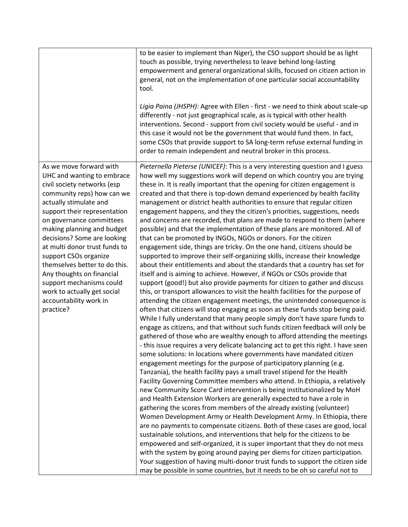|                               | to be easier to implement than Niger), the CSO support should be as light          |
|-------------------------------|------------------------------------------------------------------------------------|
|                               | touch as possible, trying nevertheless to leave behind long-lasting                |
|                               | empowerment and general organizational skills, focused on citizen action in        |
|                               | general, not on the implementation of one particular social accountability         |
|                               | tool.                                                                              |
|                               |                                                                                    |
|                               | Ligia Paina (JHSPH): Agree with Ellen - first - we need to think about scale-up    |
|                               |                                                                                    |
|                               | differently - not just geographical scale, as is typical with other health         |
|                               | interventions. Second - support from civil society would be useful - and in        |
|                               | this case it would not be the government that would fund them. In fact,            |
|                               | some CSOs that provide support to SA long-term refuse external funding in          |
|                               | order to remain independent and neutral broker in this process.                    |
|                               |                                                                                    |
| As we move forward with       | Pieternella Pieterse (UNICEF): This is a very interesting question and I guess     |
| UHC and wanting to embrace    | how well my suggestions work will depend on which country you are trying           |
| civil society networks (esp   | these in. It is really important that the opening for citizen engagement is        |
| community reps) how can we    | created and that there is top-down demand experienced by health facility           |
| actually stimulate and        | management or district health authorities to ensure that regular citizen           |
|                               |                                                                                    |
| support their representation  | engagement happens, and they the citizen's priorities, suggestions, needs          |
| on governance committees      | and concerns are recorded, that plans are made to respond to them (where           |
| making planning and budget    | possible) and that the implementation of these plans are monitored. All of         |
| decisions? Some are looking   | that can be promoted by INGOs, NGOs or donors. For the citizen                     |
| at multi donor trust funds to | engagement side, things are tricky. On the one hand, citizens should be            |
| support CSOs organize         | supported to improve their self-organizing skills, increase their knowledge        |
| themselves better to do this. | about their entitlements and about the standards that a country has set for        |
| Any thoughts on financial     | itself and is aiming to achieve. However, if NGOs or CSOs provide that             |
| support mechanisms could      | support (good!) but also provide payments for citizen to gather and discuss        |
|                               |                                                                                    |
| work to actually get social   | this, or transport allowances to visit the health facilities for the purpose of    |
| accountability work in        | attending the citizen engagement meetings, the unintended consequence is           |
| practice?                     | often that citizens will stop engaging as soon as these funds stop being paid.     |
|                               | While I fully understand that many people simply don't have spare funds to         |
|                               | engage as citizens, and that without such funds citizen feedback will only be      |
|                               | gathered of those who are wealthy enough to afford attending the meetings          |
|                               | - this issue requires a very delicate balancing act to get this right. I have seen |
|                               | some solutions: In locations where governments have mandated citizen               |
|                               | engagement meetings for the purpose of participatory planning (e.g.                |
|                               | Tanzania), the health facility pays a small travel stipend for the Health          |
|                               | Facility Governing Committee members who attend. In Ethiopia, a relatively         |
|                               |                                                                                    |
|                               | new Community Score Card intervention is being institutionalized by MoH            |
|                               | and Health Extension Workers are generally expected to have a role in              |
|                               | gathering the scores from members of the already existing (volunteer)              |
|                               | Women Development Army or Health Development Army. In Ethiopia, there              |
|                               | are no payments to compensate citizens. Both of these cases are good, local        |
|                               | sustainable solutions, and interventions that help for the citizens to be          |
|                               | empowered and self-organized, it is super important that they do not mess          |
|                               | with the system by going around paying per diems for citizen participation.        |
|                               | Your suggestion of having multi-donor trust funds to support the citizen side      |
|                               | may be possible in some countries, but it needs to be oh so careful not to         |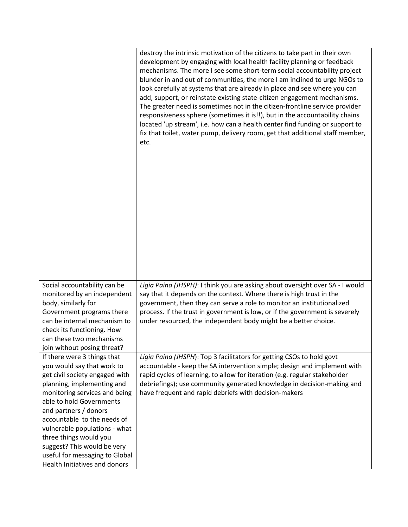|                                                                                                                                                                                                                                                                                                                                                                                                             | destroy the intrinsic motivation of the citizens to take part in their own<br>development by engaging with local health facility planning or feedback<br>mechanisms. The more I see some short-term social accountability project<br>blunder in and out of communities, the more I am inclined to urge NGOs to<br>look carefully at systems that are already in place and see where you can<br>add, support, or reinstate existing state-citizen engagement mechanisms.<br>The greater need is sometimes not in the citizen-frontline service provider<br>responsiveness sphere (sometimes it is!!), but in the accountability chains<br>located 'up stream', i.e. how can a health center find funding or support to<br>fix that toilet, water pump, delivery room, get that additional staff member,<br>etc. |
|-------------------------------------------------------------------------------------------------------------------------------------------------------------------------------------------------------------------------------------------------------------------------------------------------------------------------------------------------------------------------------------------------------------|----------------------------------------------------------------------------------------------------------------------------------------------------------------------------------------------------------------------------------------------------------------------------------------------------------------------------------------------------------------------------------------------------------------------------------------------------------------------------------------------------------------------------------------------------------------------------------------------------------------------------------------------------------------------------------------------------------------------------------------------------------------------------------------------------------------|
| Social accountability can be<br>monitored by an independent<br>body, similarly for<br>Government programs there<br>can be internal mechanism to<br>check its functioning. How<br>can these two mechanisms<br>join without posing threat?                                                                                                                                                                    | Ligia Paina (JHSPH): I think you are asking about oversight over SA - I would<br>say that it depends on the context. Where there is high trust in the<br>government, then they can serve a role to monitor an institutionalized<br>process. If the trust in government is low, or if the government is severely<br>under resourced, the independent body might be a better choice.                                                                                                                                                                                                                                                                                                                                                                                                                             |
| If there were 3 things that<br>you would say that work to<br>get civil society engaged with<br>planning, implementing and<br>monitoring services and being<br>able to hold Governments<br>and partners / donors<br>accountable to the needs of<br>vulnerable populations - what<br>three things would you<br>suggest? This would be very<br>useful for messaging to Global<br>Health Initiatives and donors | Ligia Paina (JHSPH): Top 3 facilitators for getting CSOs to hold govt<br>accountable - keep the SA intervention simple; design and implement with<br>rapid cycles of learning, to allow for iteration (e.g. regular stakeholder<br>debriefings); use community generated knowledge in decision-making and<br>have frequent and rapid debriefs with decision-makers                                                                                                                                                                                                                                                                                                                                                                                                                                             |